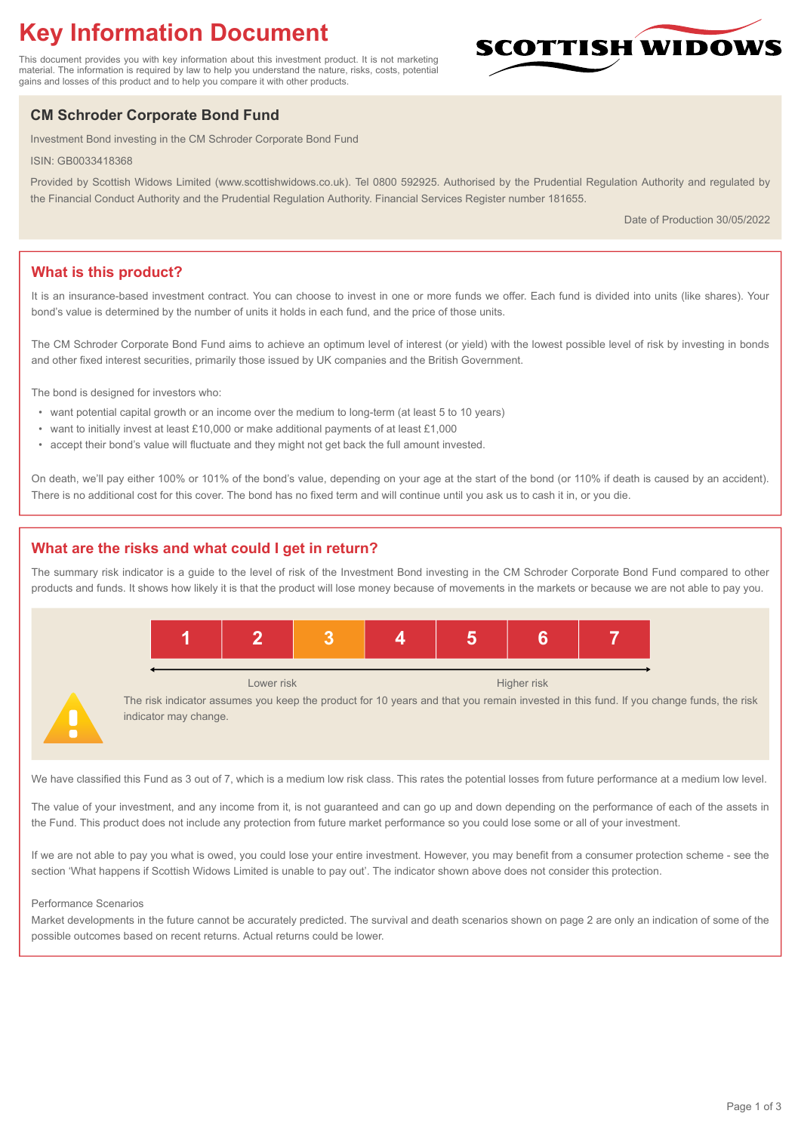# **Key Information Document**

This document provides you with key information about this investment product. It is not marketing material. The information is required by law to help you understand the nature, risks, costs, potential gains and losses of this product and to help you compare it with other products.

# **CM Schroder Corporate Bond Fund**

Investment Bond investing in the CM Schroder Corporate Bond Fund

ISIN: GB0033418368

Provided by Scottish Widows Limited (www.scottishwidows.co.uk). Tel 0800 592925. Authorised by the Prudential Regulation Authority and regulated by the Financial Conduct Authority and the Prudential Regulation Authority. Financial Services Register number 181655.

Date of Production 30/05/2022

**SCOTTISH WIDOW** 

# **What is this product?**

It is an insurance-based investment contract. You can choose to invest in one or more funds we offer. Each fund is divided into units (like shares). Your bond's value is determined by the number of units it holds in each fund, and the price of those units.

The CM Schroder Corporate Bond Fund aims to achieve an optimum level of interest (or yield) with the lowest possible level of risk by investing in bonds and other fixed interest securities, primarily those issued by UK companies and the British Government.

The bond is designed for investors who:

- want potential capital growth or an income over the medium to long-term (at least 5 to 10 years)
- want to initially invest at least £10,000 or make additional payments of at least £1,000
- accept their bond's value will fluctuate and they might not get back the full amount invested.

On death, we'll pay either 100% or 101% of the bond's value, depending on your age at the start of the bond (or 110% if death is caused by an accident). There is no additional cost for this cover. The bond has no fixed term and will continue until you ask us to cash it in, or you die.

# **What are the risks and what could I get in return?**

The summary risk indicator is a guide to the level of risk of the Investment Bond investing in the CM Schroder Corporate Bond Fund compared to other products and funds. It shows how likely it is that the product will lose money because of movements in the markets or because we are not able to pay you.



We have classified this Fund as 3 out of 7, which is a medium low risk class. This rates the potential losses from future performance at a medium low level.

The value of your investment, and any income from it, is not guaranteed and can go up and down depending on the performance of each of the assets in the Fund. This product does not include any protection from future market performance so you could lose some or all of your investment.

If we are not able to pay you what is owed, you could lose your entire investment. However, you may benefit from a consumer protection scheme - see the section 'What happens if Scottish Widows Limited is unable to pay out'. The indicator shown above does not consider this protection.

#### Performance Scenarios

Market developments in the future cannot be accurately predicted. The survival and death scenarios shown on page 2 are only an indication of some of the possible outcomes based on recent returns. Actual returns could be lower.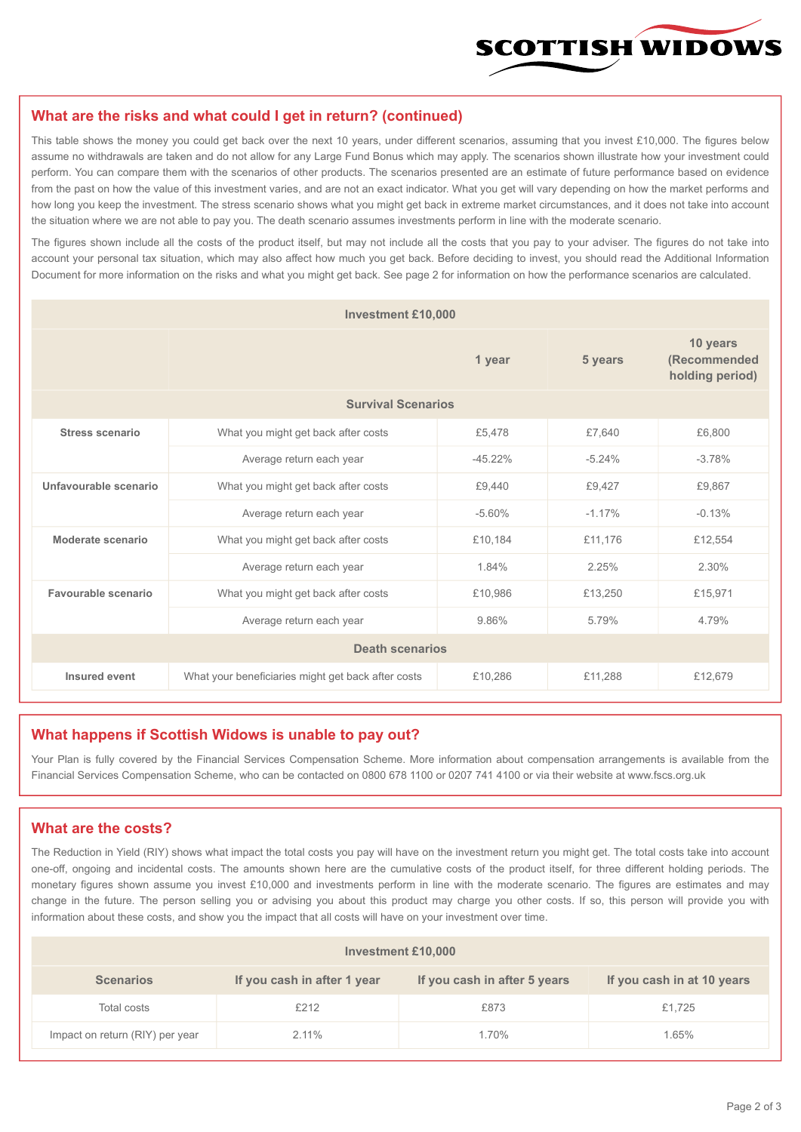

#### **What are the risks and what could I get in return? (continued)**

This table shows the money you could get back over the next 10 years, under different scenarios, assuming that you invest £10,000. The figures below assume no withdrawals are taken and do not allow for any Large Fund Bonus which may apply. The scenarios shown illustrate how your investment could perform. You can compare them with the scenarios of other products. The scenarios presented are an estimate of future performance based on evidence from the past on how the value of this investment varies, and are not an exact indicator. What you get will vary depending on how the market performs and how long you keep the investment. The stress scenario shows what you might get back in extreme market circumstances, and it does not take into account the situation where we are not able to pay you. The death scenario assumes investments perform in line with the moderate scenario.

The figures shown include all the costs of the product itself, but may not include all the costs that you pay to your adviser. The figures do not take into account your personal tax situation, which may also affect how much you get back. Before deciding to invest, you should read the Additional Information Document for more information on the risks and what you might get back. See page 2 for information on how the performance scenarios are calculated.

| <b>Investment £10,000</b> |                                                    |          |                                             |          |  |  |
|---------------------------|----------------------------------------------------|----------|---------------------------------------------|----------|--|--|
|                           |                                                    | 5 years  | 10 years<br>(Recommended<br>holding period) |          |  |  |
| <b>Survival Scenarios</b> |                                                    |          |                                             |          |  |  |
| <b>Stress scenario</b>    | What you might get back after costs<br>£5,478      |          | £7,640                                      | £6,800   |  |  |
|                           | $-45.22\%$<br>Average return each year             |          | $-5.24%$                                    | $-3.78%$ |  |  |
| Unfavourable scenario     | What you might get back after costs<br>£9,440      |          | £9,427                                      | £9,867   |  |  |
|                           | Average return each year                           | $-5.60%$ | $-1.17%$                                    | $-0.13%$ |  |  |
| Moderate scenario         | What you might get back after costs                | £10,184  | £11,176                                     | £12,554  |  |  |
|                           | Average return each year                           | 1.84%    | 2.25%                                       | 2.30%    |  |  |
| Favourable scenario       | What you might get back after costs                | £10,986  | £13,250                                     | £15,971  |  |  |
| Average return each year  |                                                    | 9.86%    | 5.79%                                       | 4.79%    |  |  |
| <b>Death scenarios</b>    |                                                    |          |                                             |          |  |  |
| Insured event             | What your beneficiaries might get back after costs | £10,286  | £11,288                                     | £12,679  |  |  |

#### **What happens if Scottish Widows is unable to pay out?**

Your Plan is fully covered by the Financial Services Compensation Scheme. More information about compensation arrangements is available from the Financial Services Compensation Scheme, who can be contacted on 0800 678 1100 or 0207 741 4100 or via their website at www.fscs.org.uk

# **What are the costs?**

The Reduction in Yield (RIY) shows what impact the total costs you pay will have on the investment return you might get. The total costs take into account one-off, ongoing and incidental costs. The amounts shown here are the cumulative costs of the product itself, for three different holding periods. The monetary figures shown assume you invest £10,000 and investments perform in line with the moderate scenario. The figures are estimates and may change in the future. The person selling you or advising you about this product may charge you other costs. If so, this person will provide you with information about these costs, and show you the impact that all costs will have on your investment over time.

| <b>Investment £10,000</b>       |                             |                              |                            |  |  |  |
|---------------------------------|-----------------------------|------------------------------|----------------------------|--|--|--|
| <b>Scenarios</b>                | If you cash in after 1 year | If you cash in after 5 years | If you cash in at 10 years |  |  |  |
| Total costs                     | £212                        | £873                         | £1,725                     |  |  |  |
| Impact on return (RIY) per year | 2.11%                       | 1.70%                        | 1.65%                      |  |  |  |